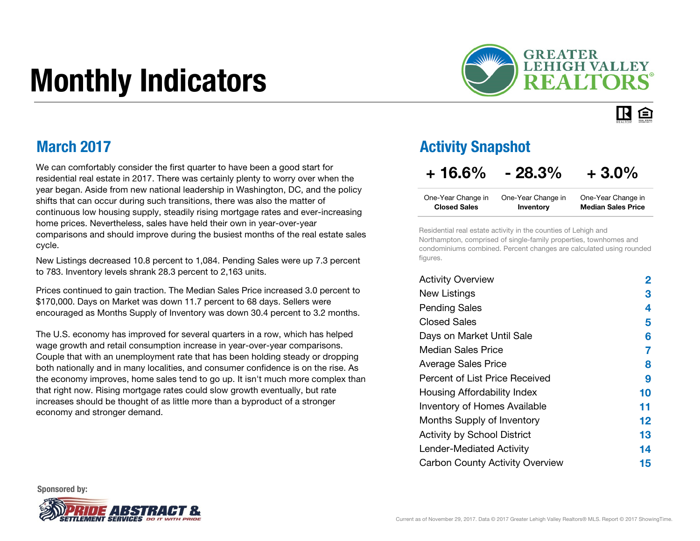# Monthly Indicators



#### IR. 臼

### March 2017

We can comfortably consider the first quarter to have been a good start for residential real estate in 2017. There was certainly plenty to worry over when the year began. Aside from new national leadership in Washington, DC, and the policy shifts that can occur during such transitions, there was also the matter of continuous low housing supply, steadily rising mortgage rates and ever-increasing home prices. Nevertheless, sales have held their own in year-over-year comparisons and should improve during the busiest months of the real estate sales cycle.

New Listings decreased 10.8 percent to 1,084. Pending Sales were up 7.3 percent to 783. Inventory levels shrank 28.3 percent to 2,163 units.

Prices continued to gain traction. The Median Sales Price increased 3.0 percent to \$170,000. Days on Market was down 11.7 percent to 68 days. Sellers were encouraged as Months Supply of Inventory was down 30.4 percent to 3.2 months.

The U.S. economy has improved for several quarters in a row, which has helped wage growth and retail consumption increase in year-over-year comparisons. Couple that with an unemployment rate that has been holding steady or dropping both nationally and in many localities, and consumer confidence is on the rise. As the economy improves, home sales tend to go up. It isn't much more complex than that right now. Rising mortgage rates could slow growth eventually, but rate increases should be thought of as little more than a byproduct of a stronger economy and stronger demand.

### Activity Snapshot

### $+ 16.6\% - 28.3\% + 3.0\%$

| One-Year Change in  | One-Year Change in | One-Year Change in        |
|---------------------|--------------------|---------------------------|
| <b>Closed Sales</b> | Inventory          | <b>Median Sales Price</b> |

Residential real estate activity in the counties of Lehigh and Northampton, comprised of single-family properties, townhomes and condominiums combined. Percent changes are calculated using rounded figures.

| <b>Activity Overview</b>               | 2  |
|----------------------------------------|----|
| <b>New Listings</b>                    | 3  |
| <b>Pending Sales</b>                   | 4  |
| <b>Closed Sales</b>                    | 5  |
| Days on Market Until Sale              | 6  |
| Median Sales Price                     | 7  |
| <b>Average Sales Price</b>             | 8  |
| Percent of List Price Received         | 9  |
| Housing Affordability Index            | 10 |
| Inventory of Homes Available           | 11 |
| Months Supply of Inventory             | 12 |
| <b>Activity by School District</b>     | 13 |
| Lender-Mediated Activity               | 14 |
| <b>Carbon County Activity Overview</b> | 15 |

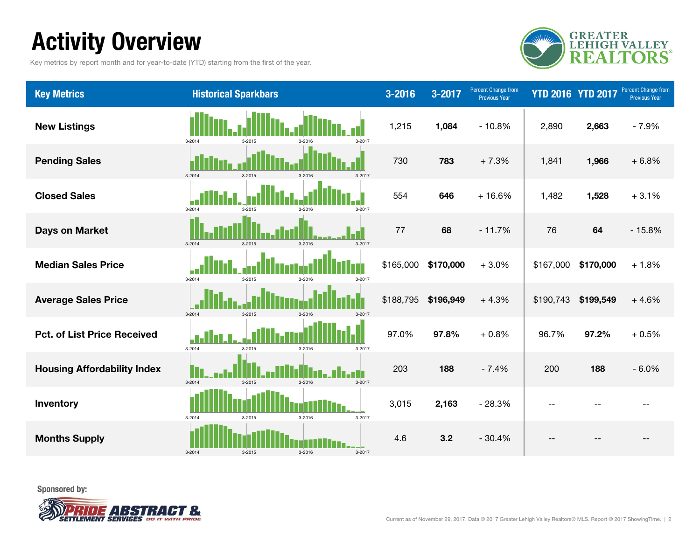## Activity Overview

Key metrics by report month and for year-to-date (YTD) starting from the first of the year.



| <b>Key Metrics</b>                 | <b>Historical Sparkbars</b>                          | 3-2016    | 3-2017    | Percent Change from<br><b>Previous Year</b> |           | <b>YTD 2016 YTD 2017</b> | <b>Percent Change from</b><br><b>Previous Year</b> |
|------------------------------------|------------------------------------------------------|-----------|-----------|---------------------------------------------|-----------|--------------------------|----------------------------------------------------|
| <b>New Listings</b>                | 3-2017<br>3-2014<br>3-2015<br>$3 - 2016$             | 1,215     | 1,084     | $-10.8%$                                    | 2,890     | 2,663                    | $-7.9%$                                            |
| <b>Pending Sales</b>               | $3 - 2014$<br>$3 - 2015$<br>$3 - 2016$<br>3-2017     | 730       | 783       | $+7.3%$                                     | 1,841     | 1,966                    | $+6.8%$                                            |
| <b>Closed Sales</b>                | 3-2014<br>3-2015<br>3-2017<br>3-2016                 | 554       | 646       | $+16.6%$                                    | 1,482     | 1,528                    | $+3.1%$                                            |
| <b>Days on Market</b>              | $3 - 2014$<br>$3 - 2015$<br>3-2016<br>3-2017         | 77        | 68        | $-11.7%$                                    | 76        | 64                       | $-15.8%$                                           |
| <b>Median Sales Price</b>          | $3 - 2014$<br>$3 - 2015$<br>$3 - 2016$<br>$3 - 2017$ | \$165,000 | \$170,000 | $+3.0%$                                     | \$167,000 | \$170,000                | $+1.8%$                                            |
| <b>Average Sales Price</b>         | $3 - 2014$<br>$3 - 2015$<br>$3 - 2016$<br>$3 - 2017$ | \$188,795 | \$196,949 | $+4.3%$                                     | \$190,743 | \$199,549                | $+4.6%$                                            |
| <b>Pct. of List Price Received</b> | 3-2014<br>3-2015<br>$3 - 2016$<br>$3 - 2017$         | 97.0%     | 97.8%     | $+0.8%$                                     | 96.7%     | 97.2%                    | $+0.5%$                                            |
| <b>Housing Affordability Index</b> | $3 - 2014$<br>$3 - 2015$<br>$3 - 2016$<br>$3 - 2017$ | 203       | 188       | $-7.4%$                                     | 200       | 188                      | $-6.0%$                                            |
| Inventory                          | $3 - 2014$<br>$3 - 2015$<br>3-2016<br>3-2017         | 3,015     | 2,163     | $-28.3%$                                    | $-$       |                          |                                                    |
| <b>Months Supply</b>               | $3 - 2014$<br>3-2016<br>$3 - 2017$<br>$3 - 2015$     | 4.6       | 3.2       | $-30.4%$                                    | $-$       |                          |                                                    |

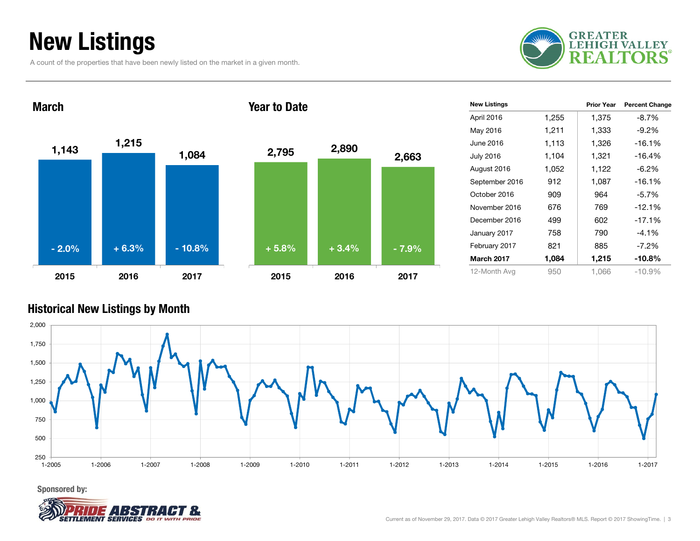## New Listings

A count of the properties that have been newly listed on the market in a given month.





| <b>New Listings</b> |       | <b>Prior Year</b> | <b>Percent Change</b> |
|---------------------|-------|-------------------|-----------------------|
| April 2016          | 1,255 | 1,375             | $-8.7%$               |
| May 2016            | 1,211 | 1,333             | $-9.2%$               |
| June 2016           | 1,113 | 1,326             | $-16.1%$              |
| <b>July 2016</b>    | 1.104 | 1,321             | $-16.4%$              |
| August 2016         | 1,052 | 1,122             | $-6.2\%$              |
| September 2016      | 912   | 1,087             | $-16.1%$              |
| October 2016        | 909   | 964               | $-5.7%$               |
| November 2016       | 676   | 769               | $-12.1%$              |
| December 2016       | 499   | 602               | $-17.1%$              |
| January 2017        | 758   | 790               | $-4.1\%$              |
| February 2017       | 821   | 885               | $-7.2\%$              |
| <b>March 2017</b>   | 1,084 | 1,215             | $-10.8%$              |
| 12-Month Avg        | 950   | 1.066             | $-10.9%$              |

#### Historical New Listings by Month



Sponsored by:

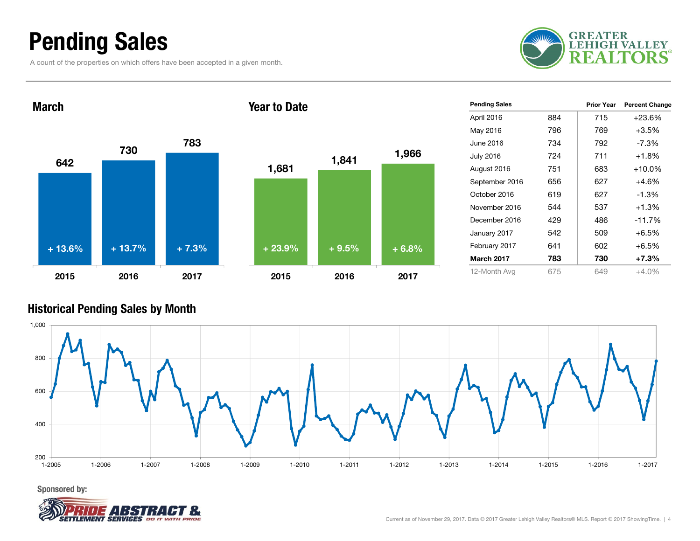### Pending Sales

A count of the properties on which offers have been accepted in a given month.



642730 <sup>783</sup> 2015 2016 2017March1,681 1,841 1,966 2015 2016 2017Year to Date+ 13.6% $+ 13.7\%$  + 7.3% + 23.9% + 9.5% + 6.8%

| <b>Pending Sales</b> |     | <b>Prior Year</b> | <b>Percent Change</b> |
|----------------------|-----|-------------------|-----------------------|
| April 2016           | 884 | 715               | +23.6%                |
| May 2016             | 796 | 769               | $+3.5%$               |
| June 2016            | 734 | 792               | $-7.3%$               |
| <b>July 2016</b>     | 724 | 711               | $+1.8%$               |
| August 2016          | 751 | 683               | $+10.0\%$             |
| September 2016       | 656 | 627               | $+4.6%$               |
| October 2016         | 619 | 627               | $-1.3\%$              |
| November 2016        | 544 | 537               | $+1.3%$               |
| December 2016        | 429 | 486               | $-11.7%$              |
| January 2017         | 542 | 509               | $+6.5%$               |
| February 2017        | 641 | 602               | $+6.5%$               |
| <b>March 2017</b>    | 783 | 730               | $+7.3%$               |
| 12-Month Avg         | 675 | 649               | +4.0%                 |

#### Historical Pending Sales by Month



Sponsored by:

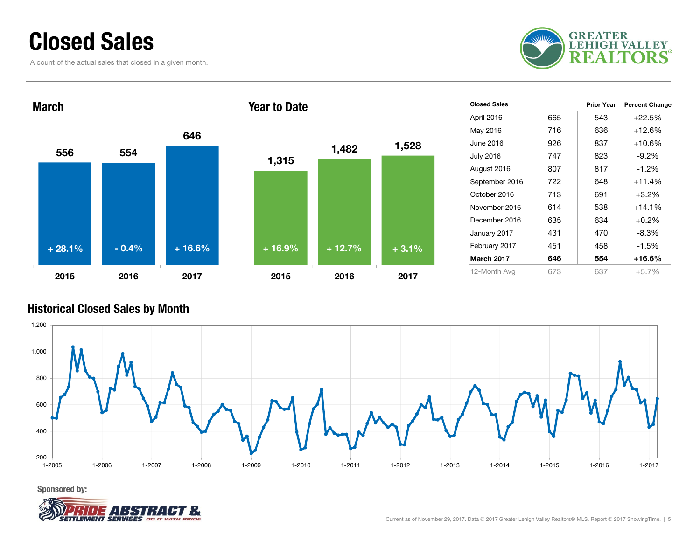### Closed Sales

A count of the actual sales that closed in a given month.



556 5546462015 2016 2017March1,315 1,482 1,528 2015 2016 2017Year to Date+ 28.1% $-0.4\%$  + 16.6% + 16.9% + 12.7% + 3.1%

| <b>Closed Sales</b> |     | Prior Year | <b>Percent Change</b> |
|---------------------|-----|------------|-----------------------|
| April 2016          | 665 | 543        | $+22.5%$              |
| May 2016            | 716 | 636        | $+12.6\%$             |
| June 2016           | 926 | 837        | $+10.6%$              |
| <b>July 2016</b>    | 747 | 823        | $-9.2\%$              |
| August 2016         | 807 | 817        | $-1.2%$               |
| September 2016      | 722 | 648        | $+11.4%$              |
| October 2016        | 713 | 691        | $+3.2%$               |
| November 2016       | 614 | 538        | $+14.1%$              |
| December 2016       | 635 | 634        | $+0.2%$               |
| January 2017        | 431 | 470        | -8.3%                 |
| February 2017       | 451 | 458        | $-1.5\%$              |
| <b>March 2017</b>   | 646 | 554        | +16.6%                |
| 12-Month Avg        | 673 | 637        | $+5.7%$               |

#### Historical Closed Sales by Month



Sponsored by:

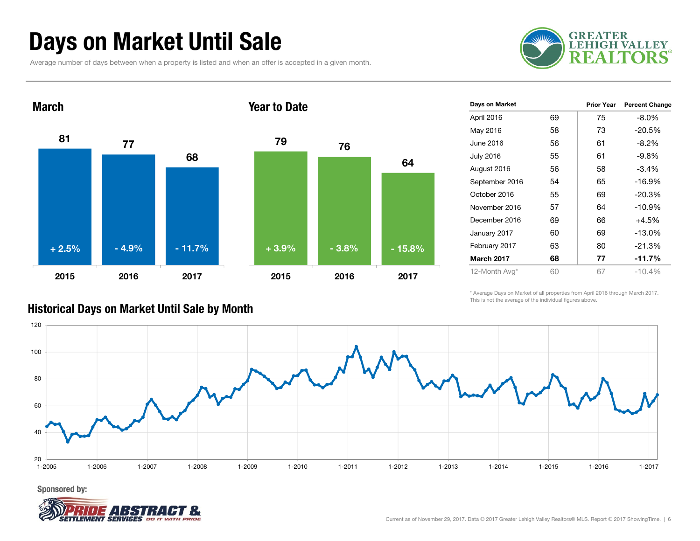### Days on Market Until Sale

Average number of days between when a property is listed and when an offer is accepted in a given month.





| Days on Market       | <b>Prior Year</b> | <b>Percent Change</b> |
|----------------------|-------------------|-----------------------|
| 69<br>April 2016     | 75                | $-8.0\%$              |
| 58<br>May 2016       | 73                | -20.5%                |
| June 2016<br>56      | 61                | $-8.2\%$              |
| 55<br>July 2016      | 61                | $-9.8%$               |
| 56<br>August 2016    | 58                | $-3.4%$               |
| 54<br>September 2016 | 65                | $-16.9%$              |
| 55<br>October 2016   | 69                | $-20.3%$              |
| 57<br>November 2016  | 64                | $-10.9%$              |
| December 2016<br>69  | 66                | +4.5%                 |
| 60<br>January 2017   | 69                | $-13.0%$              |
| 63<br>February 2017  | 80                | $-21.3%$              |
| March 2017<br>68     | 77                | $-11.7%$              |
| 60<br>12-Month Avg*  | 67                | $-10.4%$              |
|                      |                   |                       |

\* Average Days on Market of all properties from April 2016 through March 2017. This is not the average of the individual figures above.



#### Historical Days on Market Until Sale by Month

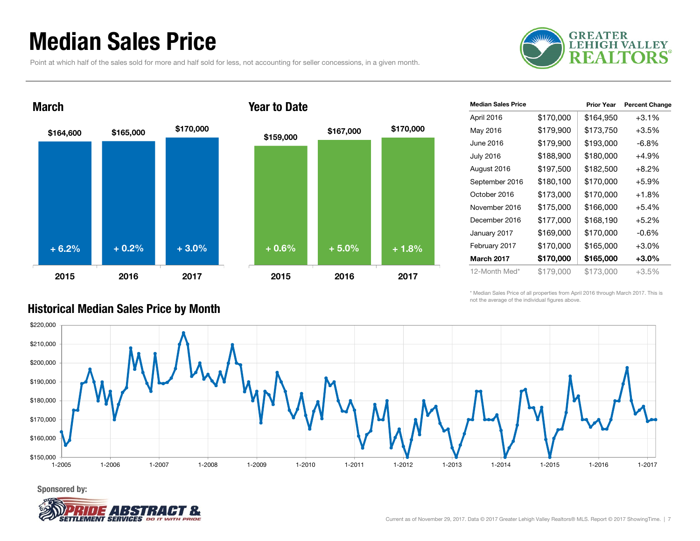### Median Sales Price

Point at which half of the sales sold for more and half sold for less, not accounting for seller concessions, in a given month.





#### Year to Date

| <b>Median Sales Price</b> |           | <b>Prior Year</b> | <b>Percent Change</b> |
|---------------------------|-----------|-------------------|-----------------------|
| April 2016                | \$170,000 | \$164,950         | $+3.1%$               |
| May 2016                  | \$179,900 | \$173,750         | $+3.5%$               |
| June 2016                 | \$179,900 | \$193,000         | -6.8%                 |
| <b>July 2016</b>          | \$188,900 | \$180,000         | +4.9%                 |
| August 2016               | \$197,500 | \$182,500         | $+8.2%$               |
| September 2016            | \$180,100 | \$170,000         | $+5.9%$               |
| October 2016              | \$173,000 | \$170,000         | $+1.8%$               |
| November 2016             | \$175,000 | \$166,000         | $+5.4%$               |
| December 2016             | \$177,000 | \$168,190         | $+5.2%$               |
| January 2017              | \$169,000 | \$170,000         | $-0.6%$               |
| February 2017             | \$170,000 | \$165,000         | $+3.0%$               |
| <b>March 2017</b>         | \$170,000 | \$165,000         | $+3.0\%$              |
| 12-Month Med*             | \$179,000 | \$173,000         | $+3.5\%$              |

\* Median Sales Price of all properties from April 2016 through March 2017. This is not the average of the individual figures above.



#### Historical Median Sales Price by Month

Sponsored by:

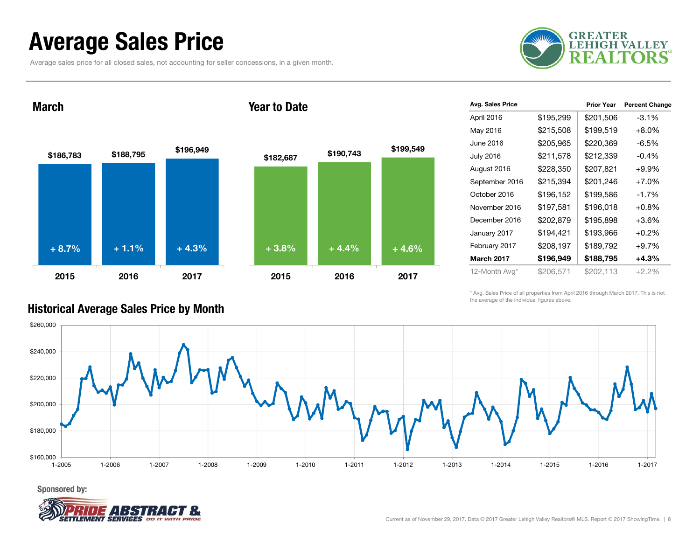### Average Sales Price

Average sales price for all closed sales, not accounting for seller concessions, in a given month.



March





| Avg. Sales Price  |           | <b>Prior Year</b> | <b>Percent Change</b> |
|-------------------|-----------|-------------------|-----------------------|
| April 2016        | \$195,299 | \$201,506         | -3.1%                 |
| May 2016          | \$215,508 | \$199,519         | $+8.0%$               |
| June 2016         | \$205,965 | \$220,369         | -6.5%                 |
| <b>July 2016</b>  | \$211,578 | \$212,339         | $-0.4%$               |
| August 2016       | \$228,350 | \$207,821         | $+9.9%$               |
| September 2016    | \$215,394 | \$201,246         | $+7.0%$               |
| October 2016      | \$196,152 | \$199,586         | $-1.7%$               |
| November 2016     | \$197,581 | \$196,018         | $+0.8%$               |
| December 2016     | \$202,879 | \$195,898         | $+3.6%$               |
| January 2017      | \$194,421 | \$193,966         | $+0.2%$               |
| February 2017     | \$208,197 | \$189,792         | $+9.7%$               |
| <b>March 2017</b> | \$196,949 | \$188,795         | $+4.3%$               |
| 12-Month Avg*     | \$206,571 | \$202,113         | $+2.2\%$              |

\* Avg. Sales Price of all properties from April 2016 through March 2017. This is not the average of the individual figures above.



#### Historical Average Sales Price by Month

Sponsored by:

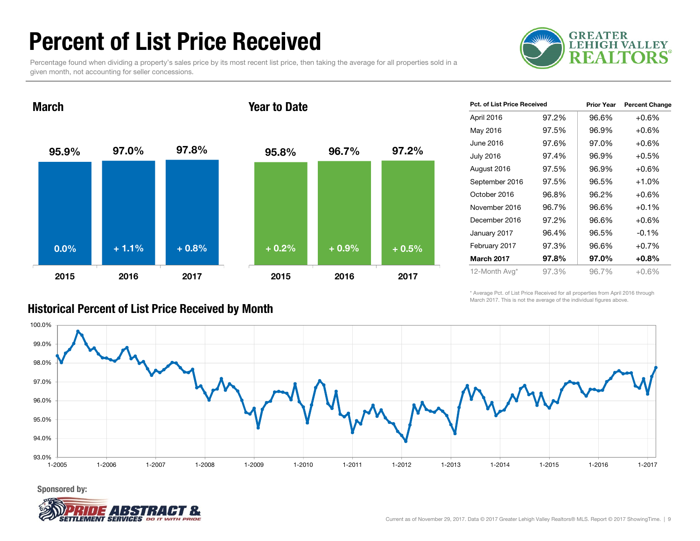### Percent of List Price Received

Percentage found when dividing a property's sales price by its most recent list price, then taking the average for all properties sold in a given month, not accounting for seller concessions.



95.9% 97.0% 97.8% 2015 2016 2017March95.8% 96.7% 97.2% 2015 2016 2017Year to Date0.0% $\%$  + 1.1% + 0.8% + 0.2% + 0.9% + 0.5%

| <b>Pct. of List Price Received</b> |       | <b>Prior Year</b> | <b>Percent Change</b> |
|------------------------------------|-------|-------------------|-----------------------|
| April 2016                         | 97.2% | 96.6%             | $+0.6%$               |
| May 2016                           | 97.5% | 96.9%             | $+0.6\%$              |
| June 2016                          | 97.6% | 97.0%             | $+0.6%$               |
| <b>July 2016</b>                   | 97.4% | 96.9%             | $+0.5%$               |
| August 2016                        | 97.5% | 96.9%             | $+0.6%$               |
| September 2016                     | 97.5% | 96.5%             | $+1.0%$               |
| October 2016                       | 96.8% | 96.2%             | $+0.6%$               |
| November 2016                      | 96.7% | 96.6%             | $+0.1%$               |
| December 2016                      | 97.2% | 96.6%             | $+0.6%$               |
| January 2017                       | 96.4% | 96.5%             | $-0.1%$               |
| February 2017                      | 97.3% | 96.6%             | $+0.7%$               |
| <b>March 2017</b>                  | 97.8% | 97.0%             | $+0.8\%$              |
| 12-Month Avg*                      | 97.3% | 96.7%             | $+0.6%$               |

\* Average Pct. of List Price Received for all properties from April 2016 through March 2017. This is not the average of the individual figures above.



### Historical Percent of List Price Received by Month

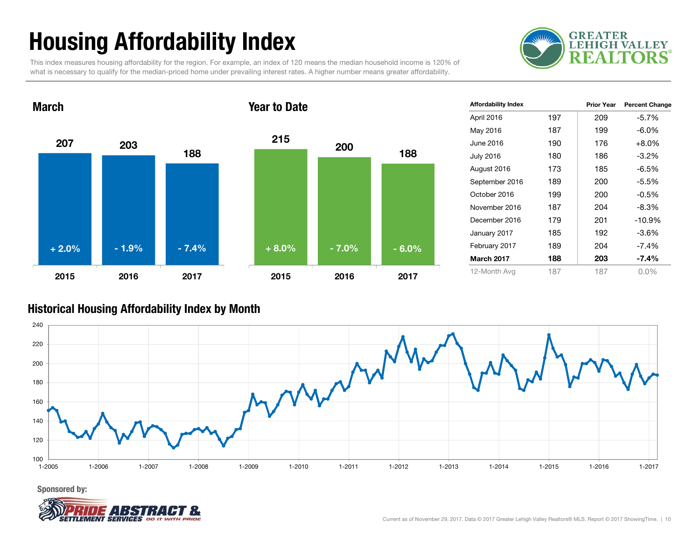## Housing Affordability Index

This index measures housing affordability for the region. For example, an index of 120 means the median household income is 120% of what is necessary to qualify for the median-priced home under prevailing interest rates. A higher number means greater affordability.





| <b>Affordability Index</b> |     | <b>Prior Year</b> | <b>Percent Change</b> |
|----------------------------|-----|-------------------|-----------------------|
| April 2016                 | 197 | 209               | $-5.7%$               |
| May 2016                   | 187 | 199               | -6.0%                 |
| June 2016                  | 190 | 176               | $+8.0%$               |
| <b>July 2016</b>           | 180 | 186               | $-3.2%$               |
| August 2016                | 173 | 185               | -6.5%                 |
| September 2016             | 189 | 200               | -5.5%                 |
| October 2016               | 199 | 200               | $-0.5\%$              |
| November 2016              | 187 | 204               | $-8.3%$               |
| December 2016              | 179 | 201               | $-10.9%$              |
| January 2017               | 185 | 192               | -3.6%                 |
| February 2017              | 189 | 204               | $-7.4%$               |
| <b>March 2017</b>          | 188 | 203               | -7.4%                 |
| 12-Month Avg               | 187 | 187               | $0.0\%$               |

#### Historical Housing Affordability Index by Mont h



Sponsored by:

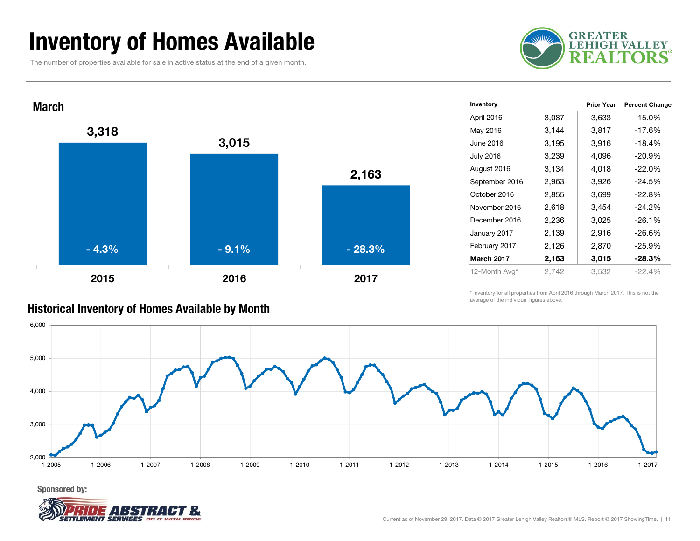### Inventory of Homes Available

The number of properties available for sale in active status at the end of a given month.





| Inventory         |       | <b>Prior Year</b> | <b>Percent Change</b> |
|-------------------|-------|-------------------|-----------------------|
| April 2016        | 3,087 | 3,633             | $-15.0%$              |
| May 2016          | 3,144 | 3,817             | $-17.6%$              |
| June 2016         | 3,195 | 3,916             | $-18.4%$              |
| <b>July 2016</b>  | 3,239 | 4,096             | $-20.9%$              |
| August 2016       | 3,134 | 4,018             | $-22.0%$              |
| September 2016    | 2,963 | 3,926             | $-24.5%$              |
| October 2016      | 2,855 | 3,699             | $-22.8%$              |
| November 2016     | 2,618 | 3,454             | $-24.2%$              |
| December 2016     | 2,236 | 3,025             | $-26.1%$              |
| January 2017      | 2,139 | 2,916             | $-26.6%$              |
| February 2017     | 2,126 | 2,870             | $-25.9%$              |
| <b>March 2017</b> | 2,163 | 3,015             | $-28.3%$              |
| 12-Month Avg*     | 2,742 | 3,532             | $-22.4%$              |
|                   |       |                   |                       |

\* Inventory for all properties from April 2016 through March 2017. This is not the average of the individual figures above.



Sponsored by:



#### Historical Inventory of Homes Available by Month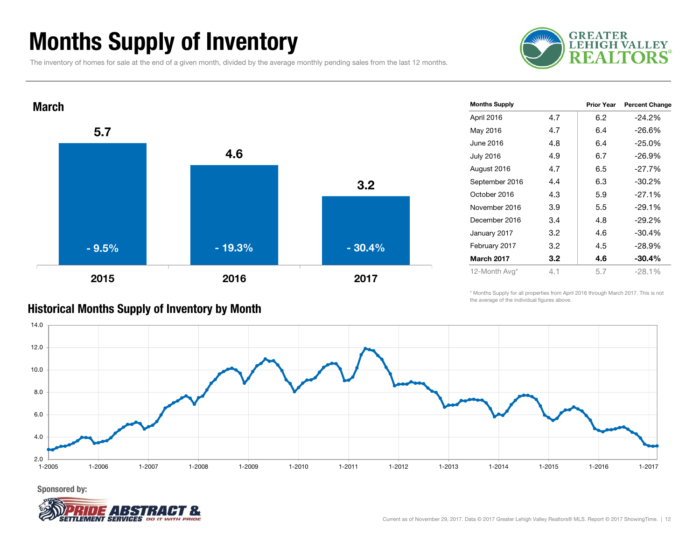### Months Supply of Inventory

The inventory of homes for sale at the end of a given month, divided by the average monthly pending sales from the last 12 months.





| <b>Months Supply</b> |     | <b>Prior Year</b> | <b>Percent Change</b> |
|----------------------|-----|-------------------|-----------------------|
| April 2016           | 4.7 | 6.2               | $-24.2\%$             |
| May 2016             | 4.7 | 6.4               | $-26.6%$              |
| June 2016            | 4.8 | 6.4               | $-25.0%$              |
| <b>July 2016</b>     | 4.9 | 6.7               | $-26.9\%$             |
| August 2016          | 4.7 | 6.5               | $-27.7\%$             |
| September 2016       | 4.4 | 6.3               | $-30.2\%$             |
| October 2016         | 4.3 | 5.9               | $-27.1%$              |
| November 2016        | 3.9 | 5.5               | $-29.1%$              |
| December 2016        | 3.4 | 4.8               | $-29.2\%$             |
| January 2017         | 3.2 | 4.6               | $-30.4%$              |
| February 2017        | 3.2 | 4.5               | -28.9%                |
| <b>March 2017</b>    | 3.2 | 4.6               | $-30.4\%$             |
| 12-Month Avg*        | 4.1 | 5.7               | $-28.1%$              |

\* Months Supply for all properties from April 2016 through March 2017. This is not the average of the individual figures above.



### Historical Months Supply of Inventory by Month

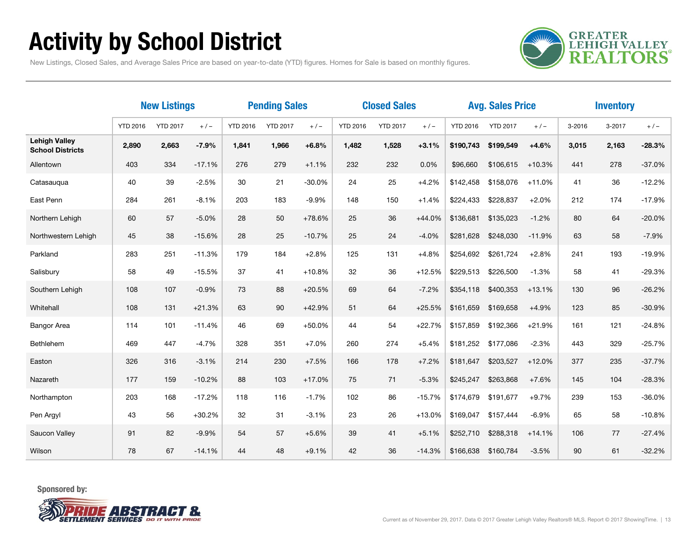## Activity by School District

**GREATER<br>LEHIGH VALLEY REALTORS** 

New Listings, Closed Sales, and Average Sales Price are based on year-to-date (YTD) figures. Homes for Sale is based on monthly figures.

|                                                 | <b>New Listings</b> |                 | <b>Pending Sales</b> |                 | <b>Closed Sales</b> |          |                 |                 | <b>Avg. Sales Price</b> |                 | <b>Inventory</b> |          |        |        |          |
|-------------------------------------------------|---------------------|-----------------|----------------------|-----------------|---------------------|----------|-----------------|-----------------|-------------------------|-----------------|------------------|----------|--------|--------|----------|
|                                                 | <b>YTD 2016</b>     | <b>YTD 2017</b> | $+/-$                | <b>YTD 2016</b> | <b>YTD 2017</b>     | $+/-$    | <b>YTD 2016</b> | <b>YTD 2017</b> | $+/-$                   | <b>YTD 2016</b> | <b>YTD 2017</b>  | $+/-$    | 3-2016 | 3-2017 | $+/-$    |
| <b>Lehigh Valley</b><br><b>School Districts</b> | 2,890               | 2,663           | $-7.9%$              | 1,841           | 1,966               | $+6.8%$  | 1,482           | 1,528           | $+3.1%$                 | \$190,743       | \$199,549        | $+4.6%$  | 3,015  | 2,163  | $-28.3%$ |
| Allentown                                       | 403                 | 334             | $-17.1%$             | 276             | 279                 | $+1.1%$  | 232             | 232             | 0.0%                    | \$96,660        | \$106,615        | $+10.3%$ | 441    | 278    | $-37.0%$ |
| Catasauqua                                      | 40                  | 39              | $-2.5%$              | 30              | 21                  | $-30.0%$ | 24              | 25              | $+4.2%$                 | \$142,458       | \$158,076        | $+11.0%$ | 41     | 36     | $-12.2%$ |
| East Penn                                       | 284                 | 261             | $-8.1%$              | 203             | 183                 | $-9.9%$  | 148             | 150             | $+1.4%$                 | \$224,433       | \$228,837        | $+2.0%$  | 212    | 174    | $-17.9%$ |
| Northern Lehigh                                 | 60                  | 57              | $-5.0%$              | 28              | 50                  | +78.6%   | 25              | 36              | $+44.0%$                | \$136,681       | \$135,023        | $-1.2%$  | 80     | 64     | $-20.0%$ |
| Northwestern Lehigh                             | 45                  | 38              | $-15.6%$             | 28              | 25                  | $-10.7%$ | 25              | 24              | $-4.0%$                 | \$281,628       | \$248,030        | $-11.9%$ | 63     | 58     | $-7.9%$  |
| Parkland                                        | 283                 | 251             | $-11.3%$             | 179             | 184                 | $+2.8%$  | 125             | 131             | $+4.8%$                 | \$254,692       | \$261.724        | $+2.8%$  | 241    | 193    | $-19.9%$ |
| Salisbury                                       | 58                  | 49              | $-15.5%$             | 37              | 41                  | $+10.8%$ | 32              | 36              | $+12.5%$                | \$229,513       | \$226,500        | $-1.3%$  | 58     | 41     | $-29.3%$ |
| Southern Lehigh                                 | 108                 | 107             | $-0.9%$              | 73              | 88                  | $+20.5%$ | 69              | 64              | $-7.2%$                 | \$354,118       | \$400,353        | $+13.1%$ | 130    | 96     | $-26.2%$ |
| Whitehall                                       | 108                 | 131             | $+21.3%$             | 63              | 90                  | $+42.9%$ | 51              | 64              | $+25.5%$                | \$161,659       | \$169,658        | $+4.9%$  | 123    | 85     | $-30.9%$ |
| <b>Bangor Area</b>                              | 114                 | 101             | $-11.4%$             | 46              | 69                  | $+50.0%$ | 44              | 54              | $+22.7%$                | \$157,859       | \$192,366        | $+21.9%$ | 161    | 121    | $-24.8%$ |
| Bethlehem                                       | 469                 | 447             | $-4.7%$              | 328             | 351                 | $+7.0%$  | 260             | 274             | $+5.4%$                 | \$181,252       | \$177,086        | $-2.3%$  | 443    | 329    | $-25.7%$ |
| Easton                                          | 326                 | 316             | $-3.1%$              | 214             | 230                 | $+7.5%$  | 166             | 178             | $+7.2%$                 | \$181,647       | \$203,527        | $+12.0%$ | 377    | 235    | $-37.7%$ |
| Nazareth                                        | 177                 | 159             | $-10.2%$             | 88              | 103                 | $+17.0%$ | 75              | 71              | $-5.3%$                 | \$245,247       | \$263,868        | $+7.6%$  | 145    | 104    | $-28.3%$ |
| Northampton                                     | 203                 | 168             | $-17.2%$             | 118             | 116                 | $-1.7%$  | 102             | 86              | $-15.7%$                | \$174.679       | \$191,677        | $+9.7%$  | 239    | 153    | $-36.0%$ |
| Pen Argyl                                       | 43                  | 56              | $+30.2%$             | 32              | 31                  | $-3.1%$  | 23              | 26              | $+13.0%$                | \$169,047       | \$157,444        | $-6.9%$  | 65     | 58     | $-10.8%$ |
| Saucon Valley                                   | 91                  | 82              | $-9.9%$              | 54              | 57                  | $+5.6%$  | 39              | 41              | $+5.1%$                 | \$252,710       | \$288,318        | $+14.1%$ | 106    | 77     | $-27.4%$ |
| Wilson                                          | 78                  | 67              | $-14.1%$             | 44              | 48                  | $+9.1%$  | 42              | 36              | $-14.3%$                | \$166,638       | \$160,784        | $-3.5%$  | 90     | 61     | $-32.2%$ |

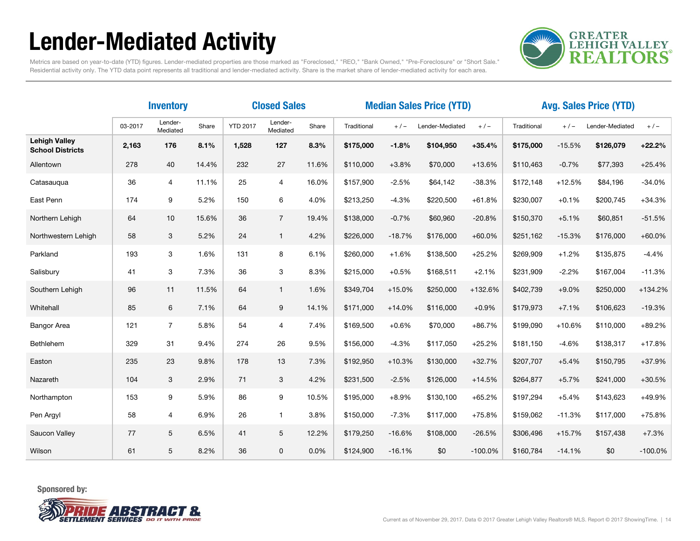## Lender-Mediated Activity



Metrics are based on year-to-date (YTD) figures. Lender-mediated properties are those marked as "Foreclosed," "REO," "Bank Owned," "Pre-Foreclosure" or "Short Sale." Residential activity only. The YTD data point represents all traditional and lender-mediated activity. Share is the market share of lender-mediated activity for each area.

|                                                 | <b>Closed Sales</b><br><b>Inventory</b> |                     |       |                 |                     | <b>Median Sales Price (YTD)</b> |             |          |                 | <b>Avg. Sales Price (YTD)</b> |             |          |                 |           |
|-------------------------------------------------|-----------------------------------------|---------------------|-------|-----------------|---------------------|---------------------------------|-------------|----------|-----------------|-------------------------------|-------------|----------|-----------------|-----------|
|                                                 | 03-2017                                 | Lender-<br>Mediated | Share | <b>YTD 2017</b> | Lender-<br>Mediated | Share                           | Traditional | $+/-$    | Lender-Mediated | $+/-$                         | Traditional | $+/-$    | Lender-Mediated | $+/-$     |
| <b>Lehigh Valley</b><br><b>School Districts</b> | 2,163                                   | 176                 | 8.1%  | 1.528           | 127                 | 8.3%                            | \$175,000   | $-1.8%$  | \$104,950       | $+35.4%$                      | \$175,000   | $-15.5%$ | \$126,079       | $+22.2%$  |
| Allentown                                       | 278                                     | 40                  | 14.4% | 232             | 27                  | 11.6%                           | \$110,000   | $+3.8%$  | \$70,000        | $+13.6%$                      | \$110,463   | $-0.7%$  | \$77,393        | $+25.4%$  |
| Catasauqua                                      | 36                                      | 4                   | 11.1% | 25              | $\overline{4}$      | 16.0%                           | \$157,900   | $-2.5%$  | \$64,142        | $-38.3%$                      | \$172,148   | $+12.5%$ | \$84,196        | $-34.0%$  |
| East Penn                                       | 174                                     | 9                   | 5.2%  | 150             | 6                   | 4.0%                            | \$213,250   | $-4.3%$  | \$220,500       | $+61.8%$                      | \$230,007   | $+0.1%$  | \$200,745       | $+34.3%$  |
| Northern Lehigh                                 | 64                                      | 10                  | 15.6% | 36              | $\overline{7}$      | 19.4%                           | \$138,000   | $-0.7%$  | \$60,960        | $-20.8%$                      | \$150,370   | $+5.1%$  | \$60,851        | $-51.5%$  |
| Northwestern Lehigh                             | 58                                      | 3                   | 5.2%  | 24              | $\mathbf{1}$        | 4.2%                            | \$226,000   | $-18.7%$ | \$176,000       | $+60.0%$                      | \$251,162   | $-15.3%$ | \$176,000       | $+60.0%$  |
| Parkland                                        | 193                                     | 3                   | 1.6%  | 131             | 8                   | 6.1%                            | \$260,000   | $+1.6%$  | \$138,500       | $+25.2%$                      | \$269,909   | $+1.2%$  | \$135,875       | $-4.4%$   |
| Salisbury                                       | 41                                      | 3                   | 7.3%  | 36              | 3                   | 8.3%                            | \$215,000   | $+0.5%$  | \$168,511       | $+2.1%$                       | \$231,909   | $-2.2%$  | \$167,004       | $-11.3%$  |
| Southern Lehigh                                 | 96                                      | 11                  | 11.5% | 64              | $\mathbf{1}$        | 1.6%                            | \$349,704   | $+15.0%$ | \$250,000       | +132.6%                       | \$402,739   | $+9.0%$  | \$250,000       | +134.2%   |
| Whitehall                                       | 85                                      | 6                   | 7.1%  | 64              | 9                   | 14.1%                           | \$171,000   | $+14.0%$ | \$116,000       | $+0.9%$                       | \$179,973   | $+7.1%$  | \$106,623       | $-19.3%$  |
| <b>Bangor Area</b>                              | 121                                     | $\overline{7}$      | 5.8%  | 54              | 4                   | 7.4%                            | \$169,500   | $+0.6%$  | \$70,000        | $+86.7%$                      | \$199,090   | $+10.6%$ | \$110,000       | $+89.2%$  |
| Bethlehem                                       | 329                                     | 31                  | 9.4%  | 274             | 26                  | 9.5%                            | \$156,000   | $-4.3%$  | \$117,050       | $+25.2%$                      | \$181,150   | $-4.6%$  | \$138,317       | $+17.8%$  |
| Easton                                          | 235                                     | 23                  | 9.8%  | 178             | 13                  | 7.3%                            | \$192,950   | $+10.3%$ | \$130,000       | $+32.7%$                      | \$207,707   | $+5.4%$  | \$150,795       | +37.9%    |
| Nazareth                                        | 104                                     | 3                   | 2.9%  | 71              | 3                   | 4.2%                            | \$231,500   | $-2.5%$  | \$126,000       | $+14.5%$                      | \$264,877   | $+5.7%$  | \$241,000       | $+30.5%$  |
| Northampton                                     | 153                                     | 9                   | 5.9%  | 86              | 9                   | 10.5%                           | \$195,000   | $+8.9%$  | \$130,100       | $+65.2%$                      | \$197,294   | $+5.4%$  | \$143,623       | +49.9%    |
| Pen Argyl                                       | 58                                      | $\overline{4}$      | 6.9%  | 26              | $\mathbf{1}$        | 3.8%                            | \$150,000   | $-7.3%$  | \$117,000       | $+75.8%$                      | \$159,062   | $-11.3%$ | \$117,000       | $+75.8%$  |
| Saucon Valley                                   | 77                                      | 5                   | 6.5%  | 41              | 5                   | 12.2%                           | \$179,250   | $-16.6%$ | \$108,000       | $-26.5%$                      | \$306,496   | $+15.7%$ | \$157,438       | $+7.3%$   |
| Wilson                                          | 61                                      | 5                   | 8.2%  | 36              | 0                   | 0.0%                            | \$124,900   | $-16.1%$ | \$0             | $-100.0%$                     | \$160,784   | $-14.1%$ | \$0             | $-100.0%$ |